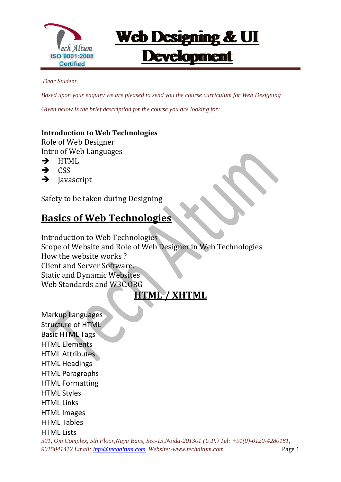

*Dear Student,*

*Based upon your enquiry we are pleased to send you the course curriculum for Web Designing*

*Given below is the brief description for the course you are looking for:*

#### **Introduction to Web Technologies**

 $\overline{a}$ 

Role of Web Designer Intro of Web Languages

- $\rightarrow$  HTML
- $\rightarrow$  CSS
- $\rightarrow$  Javascript

Safety to be taken during Designing

### **Basics of Web Technologies**

Introduction to Web Technologies Scope of Website and Role of Web Designer in Web Technologies How the website works ? Client and Server Software. Static and Dynamic Websites Web Standards and W3C.ORG

#### **HTML / XHTML**

*501, Om Complex, 5th Floor,Naya Bans, Sec-15,Noida-201301 (U.P.) Tel: +91(0)-0120-4280181,* Markup Languages Structure of HTML Basic HTML Tags HTML Elements HTML Attributes HTML Headings HTML Paragraphs HTML Formatting HTML Styles HTML Links HTML Images HTML Tables HTML Lists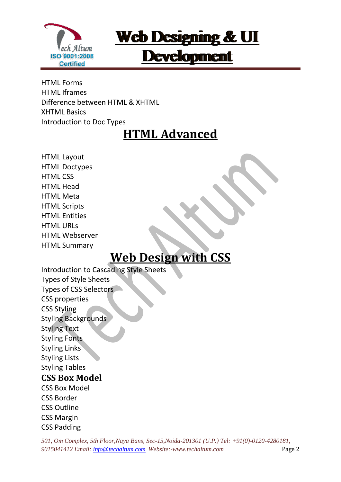

HTML Forms HTML Iframes Difference between HTML & XHTML XHTML Basics Introduction to Doc Types

 $\overline{a}$ 

# **HTML Advanced**

HTML Layout HTML Doctypes HTML CSS HTML Head HTML Meta HTML Scripts HTML Entities HTML URLs HTML Webserver HTML Summary

## **Web Design with CSS**

Introduction to Cascading Style Sheets Types of Style Sheets Types of CSS Selectors CSS properties CSS Styling Styling Backgrounds Styling Text Styling Fonts Styling Links Styling Lists Styling Tables **CSS Box Model**  CSS Box Model CSS Border CSS Outline CSS Margin CSS Padding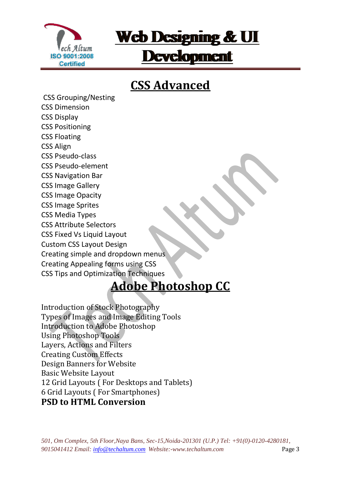

# **CSS Advanced**

CSS Grouping/Nesting CSS Dimension CSS Display CSS Positioning CSS Floating CSS Align CSS Pseudo-class CSS Pseudo-element CSS Navigation Bar CSS Image Gallery CSS Image Opacity CSS Image Sprites CSS Media Types CSS Attribute Selectors CSS Fixed Vs Liquid Layout Custom CSS Layout Design Creating simple and dropdown menus Creating Appealing forms using CSS CSS Tips and Optimization Techniques

 $\overline{a}$ 

## **Adobe Photoshop CC**

Introduction of Stock Photography Types of Images and Image Editing Tools Introduction to Adobe Photoshop Using Photoshop Tools Layers, Actions and Filters Creating Custom Effects Design Banners for Website Basic Website Layout 12 Grid Layouts ( For Desktops and Tablets) 6 Grid Layouts ( For Smartphones) **PSD to HTML Conversion**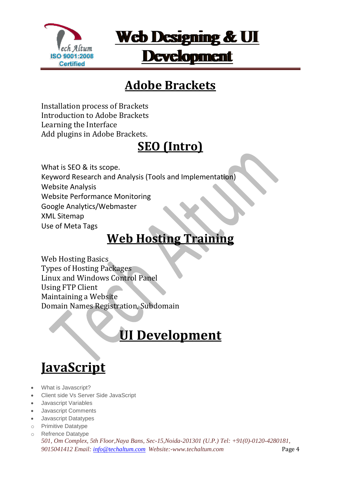

# **Adobe Brackets**

Installation process of Brackets Introduction to Adobe Brackets Learning the Interface Add plugins in Adobe Brackets.

 $\overline{a}$ 

# **SEO (Intro)**

What is SEO & its scope. Keyword Research and Analysis (Tools and Implementation) Website Analysis Website Performance Monitoring Google Analytics/Webmaster XML Sitemap Use of Meta Tags

# **Web Hosting Training**

Web Hosting Basics Types of Hosting Packages Linux and Windows Control Panel Using FTP Client Maintaining a Website Domain Names Registration, Subdomain

# **UI Development**

# **JavaScript**

- What is Javascript?
- Client side Vs Server Side JavaScript
- Javascript Variables
- Javascript Comments
- Javascript Datatypes
- o Primitive Datatype
- *501, Om Complex, 5th Floor,Naya Bans, Sec-15,Noida-201301 (U.P.) Tel: +91(0)-0120-4280181, 9015041412 Email: [info@techaltum.com](mailto:info@techaltum.com) Website:-www.techaltum.com* Page 4 o Refrence Datatype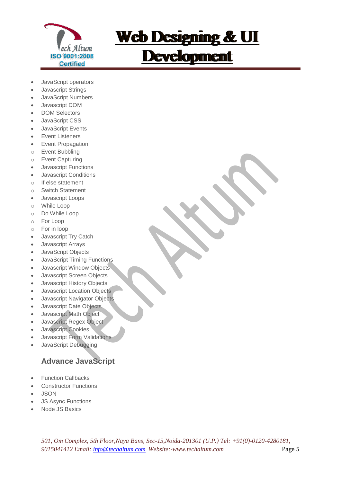

# **Web Designing & UI Development**

- JavaScript operators
- Javascript Strings
- JavaScript Numbers
- Javascript DOM
- **DOM Selectors**
- JavaScript CSS
- JavaScript Events
- Event Listeners
- Event Propagation
- o Event Bubbling
- o Event Capturing
- Javascript Functions
- Javascript Conditions
- o If else statement
- o Switch Statement
- Javascript Loops
- o While Loop
- o Do While Loop
- o For Loop
- o For in loop
- Javascript Try Catch
- Javascript Arrays
- JavaScript Objects
- JavaScript Timing Functions
- Javascript Window Objects
- Javascript Screen Objects
- Javascript History Objects
- Javascript Location Objects
- Javascript Navigator Objects
- **.** Javascript Date Objects
- Javascript Math Object
- Javascript Regex Object
- Javascript Cookies
- Javascript Form Validations
- JavaScript Debugging

#### **Advance JavaScript**

- Function Callbacks
- Constructor Functions
- JSON
- JS Async Functions
- Node JS Basics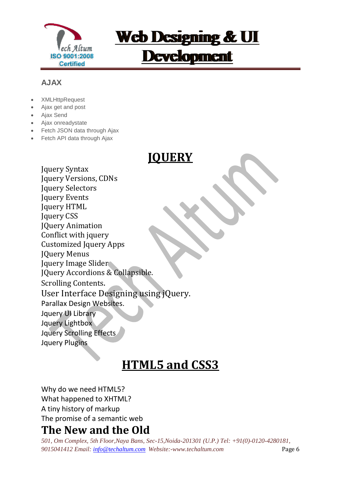

# **Web Designing & UI Development**

#### **AJAX**

- **XMLHttpRequest**
- Ajax get and post
- Ajax Send
- Ajax onreadystate
- Fetch JSON data through Ajax
- Fetch API data through Ajax

### **JQUERY**

Jquery Syntax Jquery Versions, CDNs Jquery Selectors Jquery Events Jquery HTML Jquery CSS JQuery Animation Conflict with jquery Customized Jquery Apps JQuery Menus Jquery Image Slider JQuery Accordions & Collapsible. Scrolling Contents. User Interface Designing using jQuery. Parallax Design Websites. Jquery UI Library Jquery Lightbox Jquery Scrolling Effects Jquery Plugins

## **HTML5 and CSS3**

Why do we need HTML5? What happened to XHTML? A tiny history of markup The promise of a semantic web

### **The New and the Old**

*501, Om Complex, 5th Floor,Naya Bans, Sec-15,Noida-201301 (U.P.) Tel: +91(0)-0120-4280181, 9015041412 Email: [info@techaltum.com](mailto:info@techaltum.com) Website:-www.techaltum.com* Page 6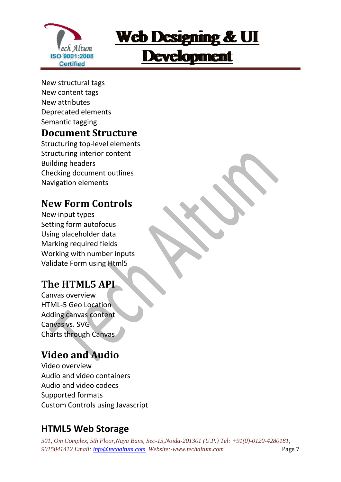

New structural tags New content tags New attributes Deprecated elements Semantic tagging

#### **Document Structure**

 $\overline{a}$ 

Structuring top-level elements Structuring interior content Building headers Checking document outlines Navigation elements

### **New Form Controls**

New input types Setting form autofocus Using placeholder data Marking required fields Working with number inputs Validate Form using Html5

### **The HTML5 API**

Canvas overview HTML-5 Geo Location Adding canvas content Canvas vs. SVG Charts through Canvas

### **Video and Audio**

Video overview Audio and video containers Audio and video codecs Supported formats Custom Controls using Javascript

### **HTML5 Web Storage**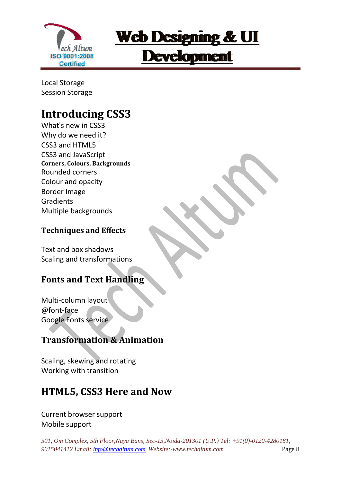

Local Storage Session Storage

### **Introducing CSS3**

 $\overline{a}$ 

What's new in CSS3 Why do we need it? CSS3 and HTML5 CSS3 and JavaScript **Corners, Colours, Backgrounds**  Rounded corners Colour and opacity Border Image **Gradients** Multiple backgrounds

#### **Techniques and Effects**

Text and box shadows Scaling and transformations

#### **Fonts and Text Handling**

Multi-column layout @font-face Google Fonts service

#### **Transformation & Animation**

Scaling, skewing and rotating Working with transition

### **HTML5, CSS3 Here and Now**

Current browser support Mobile support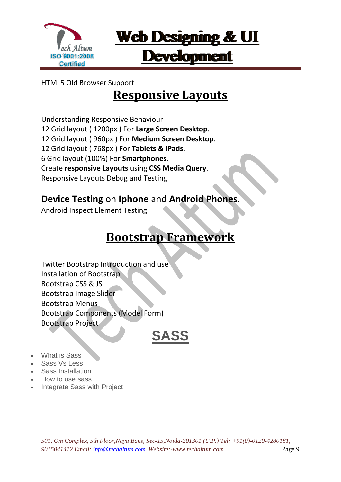

#### HTML5 Old Browser Support

 $\overline{a}$ 

### **Responsive Layouts**

Understanding Responsive Behaviour 12 Grid layout ( 1200px ) For **Large Screen Desktop**. 12 Grid layout ( 960px ) For **Medium Screen Desktop**. 12 Grid layout ( 768px ) For **Tablets & IPads**. 6 Grid layout (100%) For **Smartphones**. Create **responsive Layouts** using **CSS Media Query**. Responsive Layouts Debug and Testing

#### **Device Testing** on **Iphone** and **Android Phones**.

Android Inspect Element Testing.

## **Bootstrap Framework**

Twitter Bootstrap Introduction and use Installation of Bootstrap Bootstrap CSS & JS Bootstrap Image Slider Bootstrap Menus Bootstrap Components (Model Form) Bootstrap Project

# **SASS**

- What is Sass
- Sass Vs Less
- Sass Installation
- How to use sass
- Integrate Sass with Project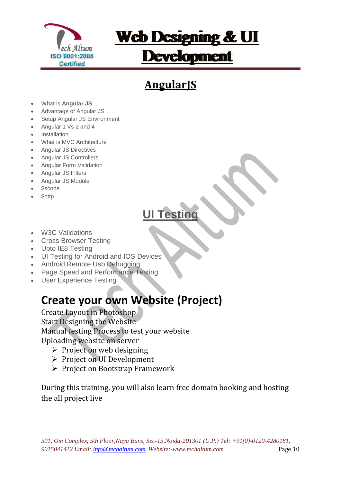

# **Web Designing & UI Development**

# **AngularJS**

- What is **Angular JS**
- Advantage of Angular JS
- Setup Angular JS Environment
- Angular 1 Vs 2 and 4
- Installation
- What is MVC Architecture
- Angular JS Directives
- Angular JS Controllers
- Angular Form Validation
- Angular JS Filters
- Angular JS Module
- \$scope
- \$http

## **UI Testing**

- W3C Validations
- Cross Browser Testing
- Upto IE8 Testing
- UI Testing for Android and IOS Devices
- Android Remote Usb Debugging
- Page Speed and Performance Testing
- User Experience Testing

### **Create your own Website (Project)**

Create Layout in Photoshop Start Designing the Website Manual testing Process to test your website Uploading website on server

- $\triangleright$  Project on web designing
- $\triangleright$  Project on UI Development
- Project on Bootstrap Framework

During this training, you will also learn free domain booking and hosting the all project live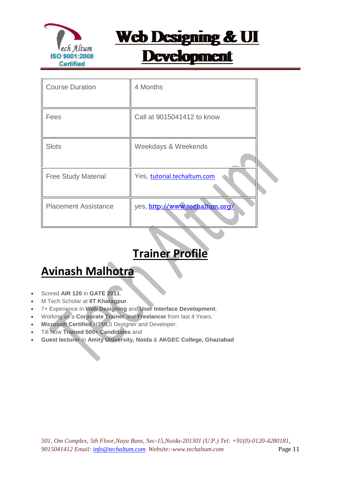

# **Web Designing & UI Development**

| <b>Course Duration</b>      | 4 Months                       |  |
|-----------------------------|--------------------------------|--|
| Fees                        | Call at 9015041412 to know     |  |
| <b>Slots</b>                | Weekdays & Weekends            |  |
| <b>Free Study Material</b>  | Yes, tutorial.techaltum.com    |  |
| <b>Placement Assistance</b> | yes, http://www.techaltum.org/ |  |

### **Trainer Profile**

### **Avinash Malhotra**

- Scored **AIR 120** in **GATE 2011**.
- M Tech Scholar at **IIT Kharagpur**.
- 7+ Experience in **Web Designing** and **User Interface Development**.
- Working as a **Corporate Trainer** and **Freelancer** from last 4 Years.
- **Microsoft Certified** HTML5 Designer and Developer.
- Till Now **Trained 500+ Candidates** and
- **Guest lecturer** in **Amity University, Noida** & **AKGEC College, Ghaziabad**